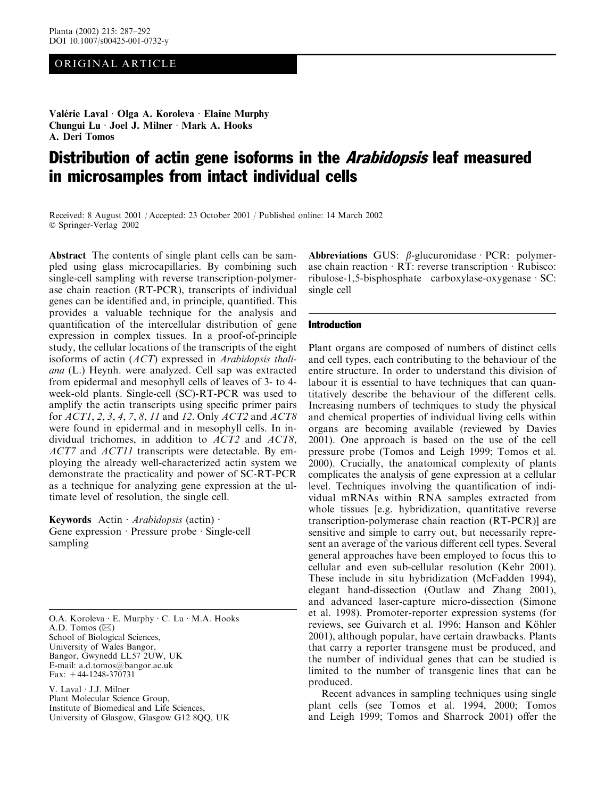## ORIGINAL ARTICLE

Valérie Laval · Olga A. Koroleva · Elaine Murphy Chungui Lu · Joel J. Milner · Mark A. Hooks A. Deri Tomos

# Distribution of actin gene isoforms in the *Arabidopsis* leaf measured in microsamples from intact individual cells

Received: 8 August 2001 / Accepted: 23 October 2001 / Published online: 14 March 2002 Springer-Verlag 2002

Abstract The contents of single plant cells can be sampled using glass microcapillaries. By combining such single-cell sampling with reverse transcription-polymerase chain reaction (RT-PCR), transcripts of individual genes can be identified and, in principle, quantified. This provides a valuable technique for the analysis and quantification of the intercellular distribution of gene expression in complex tissues. In a proof-of-principle study, the cellular locations of the transcripts of the eight isoforms of actin (ACT) expressed in Arabidopsis thaliana (L.) Heynh. were analyzed. Cell sap was extracted from epidermal and mesophyll cells of leaves of 3- to 4 week-old plants. Single-cell (SC)-RT-PCR was used to amplify the actin transcripts using specific primer pairs for ACT1, 2, 3, 4, 7, 8, 11 and 12. Only ACT2 and ACT8 were found in epidermal and in mesophyll cells. In individual trichomes, in addition to  $ACT2$  and  $ACT8$ , ACT7 and ACT11 transcripts were detectable. By employing the already well-characterized actin system we demonstrate the practicality and power of SC-RT-PCR as a technique for analyzing gene expression at the ultimate level of resolution, the single cell.

Keywords Actin  $Arabidopsis$  (actin)  $\cdot$ Gene expression  $\cdot$  Pressure probe  $\cdot$  Single-cell sampling

O.A. Koroleva  $\cdot$  E. Murphy  $\cdot$  C. Lu  $\cdot$  M.A. Hooks A.D. Tomos  $(\boxtimes)$ School of Biological Sciences, University of Wales Bangor, Bangor, Gwynedd LL57 2UW, UK E-mail: a.d.tomos@bangor.ac.uk Fax: +44-1248-370731

V. Laval · J.J. Milner Plant Molecular Science Group, Institute of Biomedical and Life Sciences, University of Glasgow, Glasgow G12 8QQ, UK Abbreviations GUS:  $\beta$ -glucuronidase PCR: polymerase chain reaction  $\cdot$  RT: reverse transcription  $\cdot$  Rubisco: ribulose-1,5-bisphosphate carboxylase-oxygenase  $\cdot$  SC: single cell

## Introduction

Plant organs are composed of numbers of distinct cells and cell types, each contributing to the behaviour of the entire structure. In order to understand this division of labour it is essential to have techniques that can quantitatively describe the behaviour of the different cells. Increasing numbers of techniques to study the physical and chemical properties of individual living cells within organs are becoming available (reviewed by Davies 2001). One approach is based on the use of the cell pressure probe (Tomos and Leigh 1999; Tomos et al. 2000). Crucially, the anatomical complexity of plants complicates the analysis of gene expression at a cellular level. Techniques involving the quantification of individual mRNAs within RNA samples extracted from whole tissues [e.g. hybridization, quantitative reverse transcription-polymerase chain reaction (RT-PCR)] are sensitive and simple to carry out, but necessarily represent an average of the various different cell types. Several general approaches have been employed to focus this to cellular and even sub-cellular resolution (Kehr 2001). These include in situ hybridization (McFadden 1994), elegant hand-dissection (Outlaw and Zhang 2001), and advanced laser-capture micro-dissection (Simone et al. 1998). Promoter-reporter expression systems (for reviews, see Guivarch et al. 1996; Hanson and Köhler 2001), although popular, have certain drawbacks. Plants that carry a reporter transgene must be produced, and the number of individualgenes that can be studied is limited to the number of transgenic lines that can be produced.

Recent advances in sampling techniques using single plant cells (see Tomos et al. 1994, 2000; Tomos and Leigh 1999; Tomos and Sharrock 2001) offer the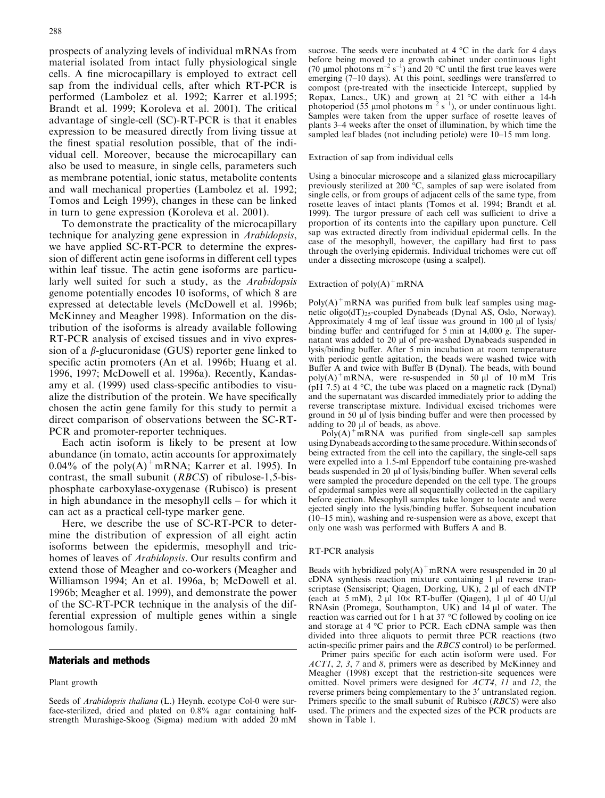prospects of analyzing levels of individual mRNAs from material isolated from intact fully physiological single cells. A fine microcapillary is employed to extract cell sap from the individual cells, after which RT-PCR is performed (Lambolez et al. 1992; Karrer et al.1995; Brandt et al. 1999; Koroleva et al. 2001). The critical advantage of single-cell (SC)-RT-PCR is that it enables expression to be measured directly from living tissue at the finest spatial resolution possible, that of the individual cell. Moreover, because the microcapillary can also be used to measure, in single cells, parameters such as membrane potential, ionic status, metabolite contents and wall mechanical properties (Lambolez et al. 1992; Tomos and Leigh 1999), changes in these can be linked in turn to gene expression (Koroleva et al. 2001).

To demonstrate the practicality of the microcapillary technique for analyzing gene expression in Arabidopsis, we have applied SC-RT-PCR to determine the expression of different actin gene isoforms in different cell types within leaf tissue. The actin gene isoforms are particularly well suited for such a study, as the Arabidopsis genome potentially encodes 10 isoforms, of which 8 are expressed at detectable levels (McDowell et al. 1996b; McKinney and Meagher 1998). Information on the distribution of the isoforms is already available following RT-PCR analysis of excised tissues and in vivo expression of a  $\beta$ -glucuronidase (GUS) reporter gene linked to specific actin promoters (An et al. 1996b; Huang et al. 1996, 1997; McDowell et al. 1996a). Recently, Kandasamy et al. (1999) used class-specific antibodies to visualize the distribution of the protein. We have specifically chosen the actin gene family for this study to permit a direct comparison of observations between the SC-RT-PCR and promoter-reporter techniques.

Each actin isoform is likely to be present at low abundance (in tomato, actin accounts for approximately 0.04% of the poly $(A)^+$ mRNA; Karrer et al. 1995). In contrast, the small subunit (RBCS) of ribulose-1,5-bisphosphate carboxylase-oxygenase (Rubisco) is present in high abundance in the mesophyll cells – for which it can act as a practical cell-type marker gene.

Here, we describe the use of SC-RT-PCR to determine the distribution of expression of all eight actin isoforms between the epidermis, mesophyll and trichomes of leaves of *Arabidopsis*. Our results confirm and extend those of Meagher and co-workers (Meagher and Williamson 1994; An et al. 1996a, b; McDowell et al. 1996b; Meagher et al. 1999), and demonstrate the power of the SC-RT-PCR technique in the analysis of the differential expression of multiple genes within a single homologous family.

## Materials and methods

#### Plant growth

sucrose. The seeds were incubated at  $4^{\circ}$ C in the dark for 4 days before being moved to a growth cabinet under continuous light (70  $\mu$ mol photons m<sup>-2</sup> s<sup>-1</sup>) and 20 °C until the first true leaves were emerging (7–10 days). At this point, seedlings were transferred to compost (pre-treated with the insecticide Intercept, supplied by Ropax, Lancs., UK) and grown at 21 °C with either a 14-h photoperiod (55 µmol photons  $m^{-2} s^{-1}$ ), or under continuous light. Samples were taken from the upper surface of rosette leaves of plants 3–4 weeks after the onset of illumination, by which time the sampled leaf blades (not including petiole) were 10–15 mm long.

#### Extraction of sap from individual cells

Using a binocular microscope and a silanized glass microcapillary previously sterilized at 200  $^{\circ}$ C, samples of sap were isolated from single cells, or from groups of adjacent cells of the same type, from rosette leaves of intact plants (Tomos et al. 1994; Brandt et al. 1999). The turgor pressure of each cell was sufficient to drive a proportion of its contents into the capillary upon puncture. Cell sap was extracted directly from individual epidermal cells. In the case of the mesophyll, however, the capillary had first to pass through the overlying epidermis. Individual trichomes were cut off under a dissecting microscope (using a scalpel).

#### Extraction of  $poly(A)^+$ mRNA

 $Poly(A)^+$ mRNA was purified from bulk leaf samples using magnetic oligo(dT)<sub>25</sub>-coupled Dynabeads (Dynal AS, Oslo, Norway). Approximately 4 mg of leaf tissue was ground in 100  $\mu$ l of lysis/ binding buffer and centrifuged for 5 min at 14,000 g. The supernatant was added to 20 µl of pre-washed Dynabeads suspended in lysis/binding buffer. After 5 min incubation at room temperature with periodic gentle agitation, the beads were washed twice with Buffer A and twice with Buffer B (Dynal). The beads, with bound  $poly(A)^+mRNA$ , were re-suspended in 50 ul of 10 mM Tris (pH 7.5) at 4  $\degree$ C, the tube was placed on a magnetic rack (Dynal) and the supernatant was discarded immediately prior to adding the reverse transcriptase mixture. Individual excised trichomes were ground in 50 µl of lysis binding buffer and were then processed by adding to 20  $\mu$ l of beads, as above.

 $Poly(A)$ <sup>+</sup>mRNA was purified from single-cell sap samples using Dynabeads according to the same procedure. Within seconds of being extracted from the cell into the capillary, the single-cell saps were expelled into a 1.5-ml Eppendorf tube containing pre-washed beads suspended in 20 µl of lysis/binding buffer. When several cells were sampled the procedure depended on the cell type. The groups of epidermal samples were all sequentially collected in the capillary before ejection. Mesophyll samples take longer to locate and were ejected singly into the lysis/binding buffer. Subsequent incubation (10–15 min), washing and re-suspension were as above, except that only one wash was performed with Buffers A and B.

#### RT-PCR analysis

Beads with hybridized poly $(A)^+$ mRNA were resuspended in 20 µl cDNA synthesis reaction mixture containing 1 ul reverse transcriptase (Sensiscript; Qiagen, Dorking, UK), 2 µl of each dNTP (each at 5 mM),  $2 \mu$ 10 $\times$  RT-buffer (Qiagen), 1  $\mu$ 1 of 40 U/ $\mu$ 1 RNAsin (Promega, Southampton, UK) and  $14 \mu l$  of water. The reaction was carried out for 1 h at 37  $\degree$ C followed by cooling on ice and storage at  $4^{\circ}C$  prior to PCR. Each cDNA sample was then divided into three aliquots to permit three PCR reactions (two actin-specific primer pairs and the RBCS control) to be performed.

Primer pairs specific for each actin isoform were used. For ACT1, 2, 3, 7 and 8, primers were as described by McKinney and Meagher (1998) except that the restriction-site sequences were omitted. Novel primers were designed for  $ACT4$ , 11 and 12, the reverse primers being complementary to the 3' untranslated region. Primers specific to the small subunit of Rubisco (RBCS) were also used. The primers and the expected sizes of the PCR products are shown in Table 1.

Seeds of *Arabidopsis thaliana* (L.) Heynh. ecotype Col-0 were surface-sterilized, dried and plated on 0.8% agar containing halfstrength Murashige-Skoog (Sigma) medium with added 20 mM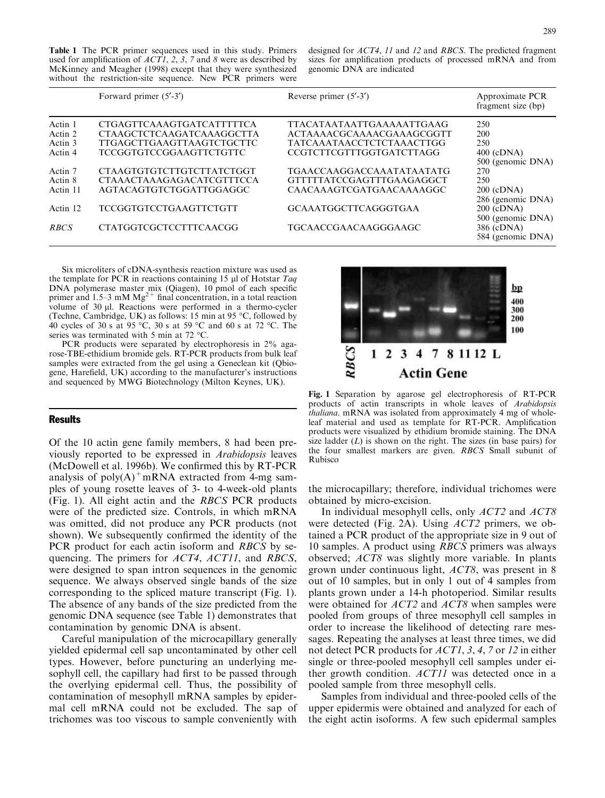Table 1 The PCR primer sequences used in this study. Primers used for amplification of  $ACTI$ , 2, 3, 7 and 8 were as described by McKinney and Meagher (1998) except that they were synthesized without the restriction-site sequence. New PCR primers were designed for ACT4, 11 and 12 and RBCS. The predicted fragment sizes for amplification products of processed mRNA and from genomic DNA are indicated

|                               | Forward primer $(5'$ -3')                                                                         | Reverse primer $(5'$ -3')                                                                         | Approximate PCR<br>fragment size (bp)    |
|-------------------------------|---------------------------------------------------------------------------------------------------|---------------------------------------------------------------------------------------------------|------------------------------------------|
| Actin 1<br>Actin 2<br>Actin 3 | CTGAGTTCAAAGTGATCATTTTTCA<br><b>CTAAGCTCTCAAGATCAAAGGCTTA</b><br><b>TTGAGCTTGAAGTTAAGTCTGCTTC</b> | <b>TTACATAATAATTGAAAAATTGAAG</b><br>ACTAAAACGCAAAACGAAAGCGGTT<br><b>TATCAAATAACCTCTCTAAACTTGG</b> | 250<br>200<br>250                        |
| Actin 4<br>Actin 7            | <b>TCCGGTGTCCGGAAGTTCTGTTC</b><br>CTAAGTGTGTCTTGTCTTATCTGGT                                       | <b>CCGTCTTCGTTTGGTGATCTTAGG</b><br><b>TGAACCAAGGACCAAATATAATATG</b>                               | $400$ (cDNA)<br>500 (genomic DNA)<br>270 |
| Actin 8<br>Actin 11           | <b>CTAAACTAAAGAGACATCGTTTCCA</b><br>AGTACAGTGTCTGGATTGGAGGC                                       | GTTTTTATCCGAGTTTGAAGAGGCT<br>CAACAAAGTCGATGAACAAAAGGC                                             | 250<br>$200$ (cDNA)<br>286 (genomic DNA) |
| Actin 12                      | <b>TCCGGTGTCCTGAAGTTCTGTT</b>                                                                     | <b>GCAAATGGCTTCAGGGTGAA</b>                                                                       | $200$ (cDNA)<br>500 (genomic DNA)        |
| <b>RBCS</b>                   | <b>CTATGGTCGCTCCTTTCAACGG</b>                                                                     | TGCAACCGAACAAGGGAAGC                                                                              | 386 (cDNA)<br>584 (genomic DNA)          |

Six microliters of cDNA-synthesis reaction mixture was used as the template for PCR in reactions containing 15  $\mu$ l of Hotstar Taq DNA polymerase master mix (Qiagen), 10 pmol of each specific primer and 1.5–3 mM  $Mg^{2+}$  final concentration, in a total reaction volume of 30 µl. Reactions were performed in a thermo-cycler (Techne, Cambridge, UK) as follows: 15 min at 95  $\degree$ C, followed by 40 cycles of 30 s at 95 °C, 30 s at 59 °C and 60 s at 72 °C. The series was terminated with 5 min at 72  $^{\circ}$ C.

PCR products were separated by electrophoresis in 2% agarose-TBE-ethidium bromide gels. RT-PCR products from bulk leaf samples were extracted from the gel using a Geneclean kit (Qbiogene, Harefield, UK) according to the manufacturer's instructions and sequenced by MWG Biotechnology (Milton Keynes, UK).

## **Results**

Of the 10 actin gene family members, 8 had been previously reported to be expressed in Arabidopsis leaves (McDowell et al. 1996b). We confirmed this by RT-PCR analysis of  $poly(A)^+mRNA$  extracted from 4-mg samples of young rosette leaves of 3- to 4-week-old plants (Fig. 1). All eight actin and the RBCS PCR products were of the predicted size. Controls, in which mRNA was omitted, did not produce any PCR products (not shown). We subsequently confirmed the identity of the PCR product for each actin isoform and *RBCS* by sequencing. The primers for ACT4, ACT11, and RBCS, were designed to span intron sequences in the genomic sequence. We always observed single bands of the size corresponding to the spliced mature transcript (Fig. 1). The absence of any bands of the size predicted from the genomic DNA sequence (see Table 1) demonstrates that contamination by genomic DNA is absent.

Careful manipulation of the microcapillary generally yielded epidermal cell sap uncontaminated by other cell types. However, before puncturing an underlying mesophyll cell, the capillary had first to be passed through the overlying epidermal cell. Thus, the possibility of contamination of mesophyll mRNA samples by epidermal cell mRNA could not be excluded. The sap of trichomes was too viscous to sample conveniently with



Fig. 1 Separation by agarose gel electrophoresis of RT-PCR products of actin transcripts in whole leaves of Arabidopsis thaliana. mRNA was isolated from approximately 4 mg of wholeleaf material and used as template for RT-PCR. Amplification products were visualized by ethidium bromide staining. The DNA size ladder  $(L)$  is shown on the right. The sizes (in base pairs) for the four smallest markers are given. RBCS Small subunit of Rubisco

the microcapillary; therefore, individual trichomes were obtained by micro-excision.

In individual mesophyll cells, only ACT2 and ACT8 were detected (Fig. 2A). Using ACT2 primers, we obtained a PCR product of the appropriate size in 9 out of 10 samples. A product using RBCS primers was always observed; ACT8 was slightly more variable. In plants grown under continuous light, ACT8, was present in 8 out of 10 samples, but in only 1 out of 4 samples from plants grown under a 14-h photoperiod. Similar results were obtained for *ACT2* and *ACT8* when samples were pooled from groups of three mesophyll cell samples in order to increase the likelihood of detecting rare messages. Repeating the analyses at least three times, we did not detect PCR products for *ACT1*, 3, 4, 7 or 12 in either single or three-pooled mesophyll cell samples under either growth condition. ACT11 was detected once in a pooled sample from three mesophyll cells.

Samples from individual and three-pooled cells of the upper epidermis were obtained and analyzed for each of the eight actin isoforms. A few such epidermal samples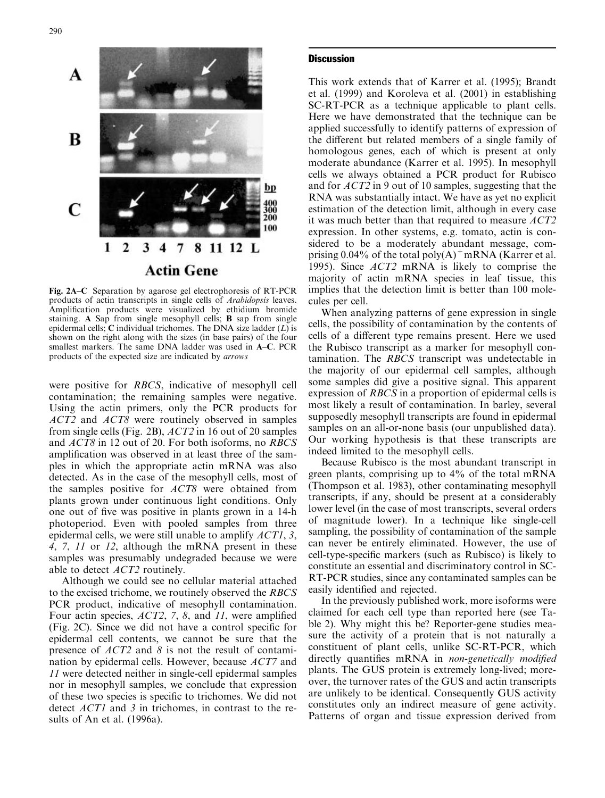

Fig. 2A–C Separation by agarose gel electrophoresis of RT-PCR products of actin transcripts in single cells of Arabidopsis leaves. Amplification products were visualized by ethidium bromide staining. A Sap from single mesophyll cells; B sap from single epidermal cells; C individual trichomes. The DNA size ladder  $(L)$  is shown on the right along with the sizes (in base pairs) of the four smallest markers. The same DNA ladder was used in A–C. PCR products of the expected size are indicated by arrows

were positive for RBCS, indicative of mesophyll cell contamination; the remaining samples were negative. Using the actin primers, only the PCR products for ACT2 and ACT8 were routinely observed in samples from single cells (Fig. 2B), ACT2 in 16 out of 20 samples and ACT8 in 12 out of 20. For both isoforms, no RBCS amplification was observed in at least three of the samples in which the appropriate actin mRNA was also detected. As in the case of the mesophyll cells, most of the samples positive for ACT8 were obtained from plants grown under continuous light conditions. Only one out of five was positive in plants grown in a 14-h photoperiod. Even with pooled samples from three epidermal cells, we were still unable to amplify  $ACT1$ , 3, 4, 7, 11 or 12, although the mRNA present in these samples was presumably undegraded because we were able to detect ACT2 routinely.

Although we could see no cellular material attached to the excised trichome, we routinely observed the RBCS PCR product, indicative of mesophyll contamination. Four actin species, ACT2, 7, 8, and 11, were amplified  $(Fig. 2C)$ . Since we did not have a control specific for epidermal cell contents, we cannot be sure that the presence of ACT2 and 8 is not the result of contamination by epidermal cells. However, because ACT7 and 11 were detected neither in single-cell epidermal samples nor in mesophyll samples, we conclude that expression of these two species is specific to trichomes. We did not detect ACT1 and 3 in trichomes, in contrast to the results of An et al. (1996a).

## **Discussion**

This work extends that of Karrer et al. (1995); Brandt et al. (1999) and Koroleva et al. (2001) in establishing SC-RT-PCR as a technique applicable to plant cells. Here we have demonstrated that the technique can be applied successfully to identify patterns of expression of the different but related members of a single family of homologous genes, each of which is present at only moderate abundance (Karrer et al. 1995). In mesophyll cells we always obtained a PCR product for Rubisco and for ACT2 in 9 out of 10 samples, suggesting that the RNA was substantially intact. We have as yet no explicit estimation of the detection limit, although in every case it was much better than that required to measure ACT2 expression. In other systems, e.g. tomato, actin is considered to be a moderately abundant message, comprising 0.04% of the total poly $(A)^+$ mRNA (Karrer et al. 1995). Since ACT2 mRNA is likely to comprise the majority of actin mRNA species in leaf tissue, this implies that the detection limit is better than 100 molecules per cell.

When analyzing patterns of gene expression in single cells, the possibility of contamination by the contents of cells of a different type remains present. Here we used the Rubisco transcript as a marker for mesophyll contamination. The RBCS transcript was undetectable in the majority of our epidermal cell samples, although some samples did give a positive signal. This apparent expression of RBCS in a proportion of epidermal cells is most likely a result of contamination. In barley, several supposedly mesophyll transcripts are found in epidermal samples on an all-or-none basis (our unpublished data). Our working hypothesis is that these transcripts are indeed limited to the mesophyll cells.

Because Rubisco is the most abundant transcript in green plants, comprising up to 4% of the total mRNA (Thompson et al. 1983), other contaminating mesophyll transcripts, if any, should be present at a considerably lower level (in the case of most transcripts, several orders of magnitude lower). In a technique like single-cell sampling, the possibility of contamination of the sample can never be entirely eliminated. However, the use of cell-type-specific markers (such as Rubisco) is likely to constitute an essential and discriminatory control in SC-RT-PCR studies, since any contaminated samples can be easily identified and rejected.

In the previously published work, more isoforms were claimed for each cell type than reported here (see Table 2). Why might this be? Reporter-gene studies measure the activity of a protein that is not naturally a constituent of plant cells, unlike SC-RT-PCR, which directly quantifies mRNA in non-genetically modified plants. The GUS protein is extremely long-lived; moreover, the turnover rates of the GUS and actin transcripts are unlikely to be identical. Consequently GUS activity constitutes only an indirect measure of gene activity. Patterns of organ and tissue expression derived from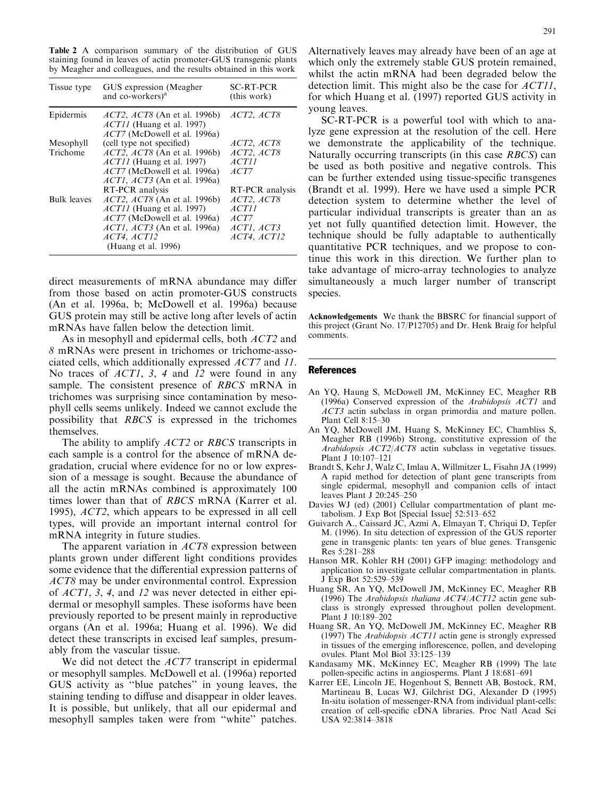Table 2 A comparison summary of the distribution of GUS staining found in leaves of actin promoter-GUS transgenic plants by Meagher and colleagues, and the results obtained in this work

| Tissue type        | GUS expression (Meagher)<br>and co-workers) <sup>a</sup>                                                          | <b>SC-RT-PCR</b><br>(this work) |
|--------------------|-------------------------------------------------------------------------------------------------------------------|---------------------------------|
| Epidermis          | <i>ACT2</i> , <i>ACT8</i> (An et al. 1996b)<br>$ACT11$ (Huang et al. 1997)<br><i>ACT7</i> (McDowell et al. 1996a) | ACT2, ACT8                      |
| Mesophyll          | (cell type not specified)                                                                                         | ACT2, ACT8                      |
| Trichome           | <i>ACT2</i> , <i>ACT8</i> (An et al. 1996b)                                                                       | ACT2, ACT8                      |
|                    | $ACTII$ (Huang et al. 1997)                                                                                       | <i>ACT11</i>                    |
|                    | <i>ACT7</i> (McDowell et al. 1996a)                                                                               | ACT7                            |
|                    | <i>ACT1</i> , <i>ACT3</i> (An et al. 1996a)                                                                       |                                 |
|                    | RT-PCR analysis                                                                                                   | RT-PCR analysis                 |
| <b>Bulk leaves</b> | <i>ACT2, ACT8</i> (An et al. 1996b)                                                                               | ACT2, ACT8                      |
|                    | $ACTII$ (Huang et al. 1997)                                                                                       | <i>ACT11</i>                    |
|                    | <i>ACT7</i> (McDowell et al. 1996a)                                                                               | ACT7                            |
|                    | <i>ACT1</i> , <i>ACT3</i> (An et al. 1996a)                                                                       | ACTI, ACT3                      |
|                    | ACT4, ACT12                                                                                                       | ACT4, ACT12                     |
|                    | (Huang et al. 1996)                                                                                               |                                 |

direct measurements of mRNA abundance may differ from those based on actin promoter-GUS constructs (An et al. 1996a, b; McDowell et al. 1996a) because GUS protein may still be active long after levels of actin mRNAs have fallen below the detection limit.

As in mesophyll and epidermal cells, both ACT2 and 8 mRNAs were present in trichomes or trichome-associated cells, which additionally expressed ACT7 and 11. No traces of *ACT1*, 3, 4 and 12 were found in any sample. The consistent presence of RBCS mRNA in trichomes was surprising since contamination by mesophyll cells seems unlikely. Indeed we cannot exclude the possibility that RBCS is expressed in the trichomes themselves.

The ability to amplify *ACT2* or *RBCS* transcripts in each sample is a control for the absence of mRNA degradation, crucial where evidence for no or low expression of a message is sought. Because the abundance of all the actin mRNAs combined is approximately 100 times lower than that of RBCS mRNA (Karrer et al. 1995), ACT2, which appears to be expressed in all cell types, will provide an important internal control for mRNA integrity in future studies.

The apparent variation in ACT8 expression between plants grown under different light conditions provides some evidence that the differential expression patterns of ACT8 may be under environmental control. Expression of ACT1, 3, 4, and 12 was never detected in either epidermal or mesophyll samples. These isoforms have been previously reported to be present mainly in reproductive organs (An et al. 1996a; Huang et al. 1996). We did detect these transcripts in excised leaf samples, presumably from the vascular tissue.

We did not detect the *ACT7* transcript in epidermal or mesophyll samples. McDowell et al. (1996a) reported GUS activity as ''blue patches'' in young leaves, the staining tending to diffuse and disappear in older leaves. It is possible, but unlikely, that all our epidermal and mesophyll samples taken were from ''white'' patches.

Alternatively leaves may already have been of an age at which only the extremely stable GUS protein remained, whilst the actin mRNA had been degraded below the detection limit. This might also be the case for  $ACT11$ , for which Huang et al. (1997) reported GUS activity in young leaves.

SC-RT-PCR is a powerful tool with which to analyze gene expression at the resolution of the cell. Here we demonstrate the applicability of the technique. Naturally occurring transcripts (in this case RBCS) can be used as both positive and negative controls. This can be further extended using tissue-specific transgenes (Brandt et al. 1999). Here we have used a simple PCR detection system to determine whether the level of particular individual transcripts is greater than an as yet not fully quantified detection limit. However, the technique should be fully adaptable to authentically quantitative PCR techniques, and we propose to continue this work in this direction. We further plan to take advantage of micro-array technologies to analyze simultaneously a much larger number of transcript species.

Acknowledgements We thank the BBSRC for financial support of this project (Grant No. 17/P12705) and Dr. Henk Braig for helpful comments.

### **References**

- An YQ, Haung S, McDowell JM, McKinney EC, Meagher RB (1996a) Conserved expression of the Arabidopsis ACT1 and ACT3 actin subclass in organ primordia and mature pollen. Plant Cell 8:15–30
- An YQ, McDowell JM, Huang S, McKinney EC, Chambliss S, Meagher RB (1996b) Strong, constitutive expression of the Arabidopsis ACT2/ACT8 actin subclass in vegetative tissues. Plant J 10:107–121
- Brandt S, Kehr J, Walz C, Imlau A, Willmitzer L, Fisahn JA (1999) A rapid method for detection of plant gene transcripts from single epidermal, mesophyll and companion cells of intact leaves Plant J 20:245–250
- Davies WJ (ed) (2001) Cellular compartmentation of plant metabolism. J Exp Bot [Special Issue] 52:513–652
- Guivarch A., Caissard JC, Azmi A, Elmayan T, Chriqui D, Tepfer M. (1996). In situ detection of expression of the GUS reporter gene in transgenic plants: ten years of blue genes. Transgenic Res 5:281–288
- Hanson MR, Kohler RH (2001) GFP imaging: methodology and application to investigate cellular compartmentation in plants. J Exp Bot 52:529–539
- Huang SR, An YQ, McDowell JM, McKinney EC, Meagher RB (1996) The Arabidopsis thaliana ACT4/ACT12 actin gene subclass is strongly expressed throughout pollen development. Plant J 10:189–202
- Huang SR, An YQ, McDowell JM, McKinney EC, Meagher RB (1997) The Arabidopsis ACT11 actin gene is strongly expressed in tissues of the emerging inflorescence, pollen, and developing ovules. Plant Mol Biol 33:125–139
- Kandasamy MK, McKinney EC, Meagher RB (1999) The late pollen-specific actins in angiosperms. Plant J 18:681–691
- Karrer EE, Lincoln JE, Hogenhout S, Bennett AB, Bostock, RM, Martineau B, Lucas WJ, Gilchrist DG, Alexander D (1995) In-situ isolation of messenger-RNA from individual plant-cells: creation of cell-specific cDNA libraries. Proc Natl Acad Sci USA 92:3814–3818